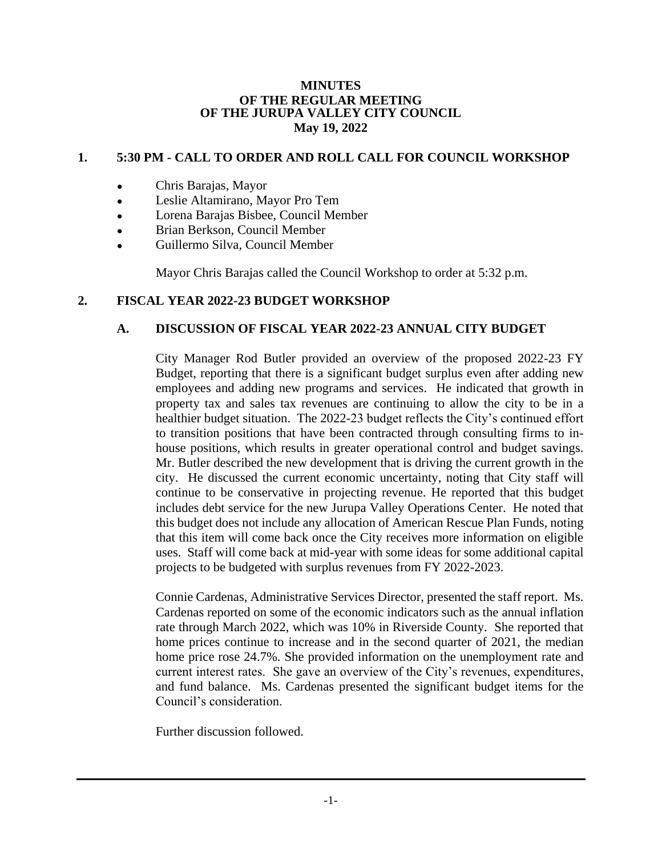#### **MINUTES OF THE REGULAR MEETING OF THE JURUPA VALLEY CITY COUNCIL May 19, 2022**

## **1. 5:30 PM - CALL TO ORDER AND ROLL CALL FOR COUNCIL WORKSHOP**

- Chris Barajas, Mayor
- Leslie Altamirano, Mayor Pro Tem
- Lorena Barajas Bisbee, Council Member
- Brian Berkson, Council Member
- Guillermo Silva, Council Member

Mayor Chris Barajas called the Council Workshop to order at 5:32 p.m.

## **2. FISCAL YEAR 2022-23 BUDGET WORKSHOP**

#### **A. DISCUSSION OF FISCAL YEAR 2022-23 ANNUAL CITY BUDGET**

City Manager Rod Butler provided an overview of the proposed 2022-23 FY Budget, reporting that there is a significant budget surplus even after adding new employees and adding new programs and services. He indicated that growth in property tax and sales tax revenues are continuing to allow the city to be in a healthier budget situation. The 2022-23 budget reflects the City's continued effort to transition positions that have been contracted through consulting firms to inhouse positions, which results in greater operational control and budget savings. Mr. Butler described the new development that is driving the current growth in the city. He discussed the current economic uncertainty, noting that City staff will continue to be conservative in projecting revenue. He reported that this budget includes debt service for the new Jurupa Valley Operations Center. He noted that this budget does not include any allocation of American Rescue Plan Funds, noting that this item will come back once the City receives more information on eligible uses. Staff will come back at mid-year with some ideas for some additional capital projects to be budgeted with surplus revenues from FY 2022-2023.

Connie Cardenas, Administrative Services Director, presented the staff report. Ms. Cardenas reported on some of the economic indicators such as the annual inflation rate through March 2022, which was 10% in Riverside County. She reported that home prices continue to increase and in the second quarter of 2021, the median home price rose 24.7%. She provided information on the unemployment rate and current interest rates. She gave an overview of the City's revenues, expenditures, and fund balance. Ms. Cardenas presented the significant budget items for the Council's consideration.

Further discussion followed.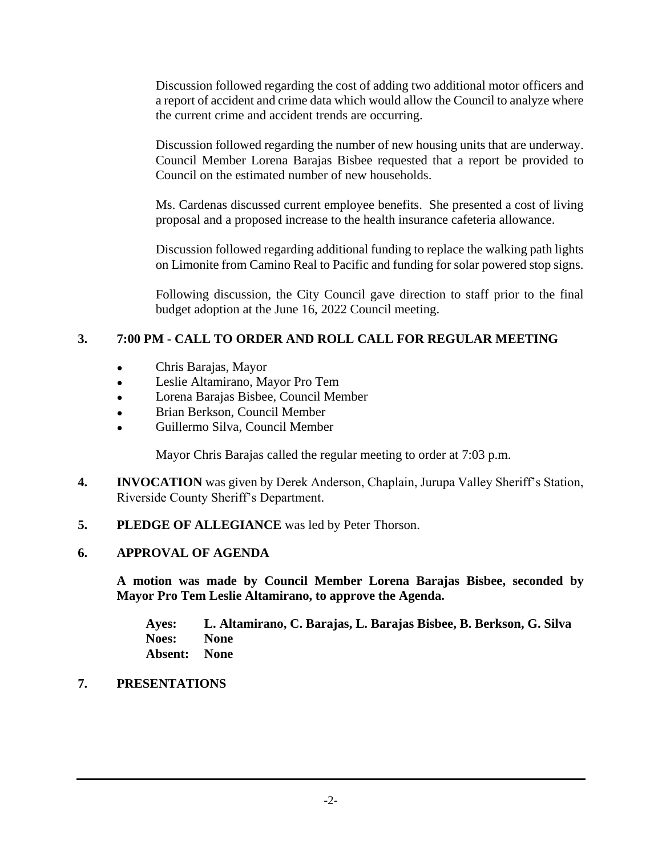Discussion followed regarding the cost of adding two additional motor officers and a report of accident and crime data which would allow the Council to analyze where the current crime and accident trends are occurring.

Discussion followed regarding the number of new housing units that are underway. Council Member Lorena Barajas Bisbee requested that a report be provided to Council on the estimated number of new households.

Ms. Cardenas discussed current employee benefits. She presented a cost of living proposal and a proposed increase to the health insurance cafeteria allowance.

Discussion followed regarding additional funding to replace the walking path lights on Limonite from Camino Real to Pacific and funding for solar powered stop signs.

Following discussion, the City Council gave direction to staff prior to the final budget adoption at the June 16, 2022 Council meeting.

# **3. 7:00 PM - CALL TO ORDER AND ROLL CALL FOR REGULAR MEETING**

- Chris Barajas, Mayor
- Leslie Altamirano, Mayor Pro Tem
- Lorena Barajas Bisbee, Council Member
- Brian Berkson, Council Member
- Guillermo Silva, Council Member

Mayor Chris Barajas called the regular meeting to order at 7:03 p.m.

- **4. INVOCATION** was given by Derek Anderson, Chaplain, Jurupa Valley Sheriff's Station, Riverside County Sheriff's Department.
- **5. PLEDGE OF ALLEGIANCE** was led by Peter Thorson.

# **6. APPROVAL OF AGENDA**

**A motion was made by Council Member Lorena Barajas Bisbee, seconded by Mayor Pro Tem Leslie Altamirano, to approve the Agenda.**

**Ayes: L. Altamirano, C. Barajas, L. Barajas Bisbee, B. Berkson, G. Silva Noes: None Absent: None**

# **7. PRESENTATIONS**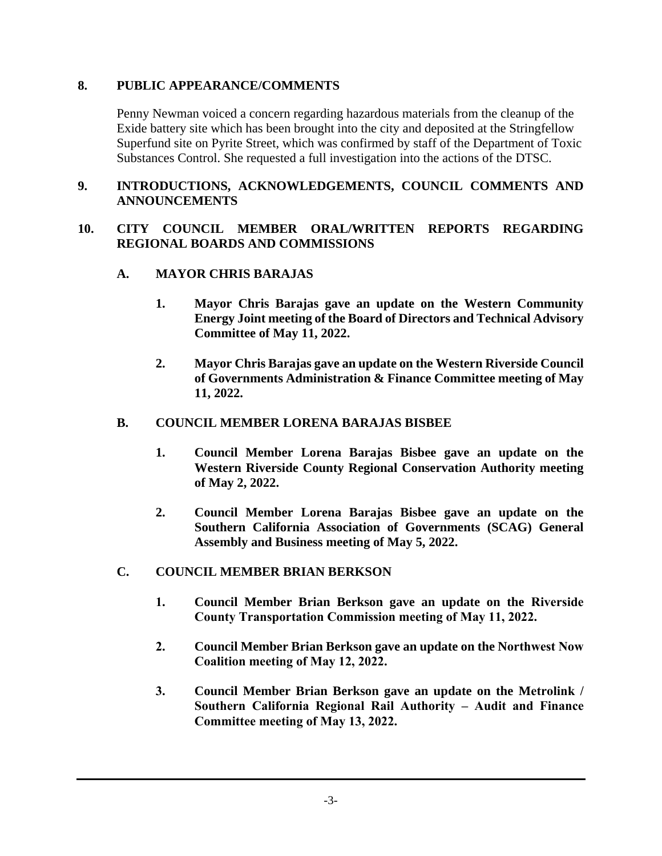## **8. PUBLIC APPEARANCE/COMMENTS**

Penny Newman voiced a concern regarding hazardous materials from the cleanup of the Exide battery site which has been brought into the city and deposited at the Stringfellow Superfund site on Pyrite Street, which was confirmed by staff of the Department of Toxic Substances Control. She requested a full investigation into the actions of the DTSC.

#### **9. INTRODUCTIONS, ACKNOWLEDGEMENTS, COUNCIL COMMENTS AND ANNOUNCEMENTS**

#### **10. CITY COUNCIL MEMBER ORAL/WRITTEN REPORTS REGARDING REGIONAL BOARDS AND COMMISSIONS**

#### **A. MAYOR CHRIS BARAJAS**

- **1. Mayor Chris Barajas gave an update on the Western Community Energy Joint meeting of the Board of Directors and Technical Advisory Committee of May 11, 2022.**
- **2. Mayor Chris Barajas gave an update on the Western Riverside Council of Governments Administration & Finance Committee meeting of May 11, 2022.**

#### **B. COUNCIL MEMBER LORENA BARAJAS BISBEE**

- **1. Council Member Lorena Barajas Bisbee gave an update on the Western Riverside County Regional Conservation Authority meeting of May 2, 2022.**
- **2. Council Member Lorena Barajas Bisbee gave an update on the Southern California Association of Governments (SCAG) General Assembly and Business meeting of May 5, 2022.**

## **C. COUNCIL MEMBER BRIAN BERKSON**

- **1. Council Member Brian Berkson gave an update on the Riverside County Transportation Commission meeting of May 11, 2022.**
- **2. Council Member Brian Berkson gave an update on the Northwest Now Coalition meeting of May 12, 2022.**
- **3. Council Member Brian Berkson gave an update on the Metrolink / Southern California Regional Rail Authority – Audit and Finance Committee meeting of May 13, 2022.**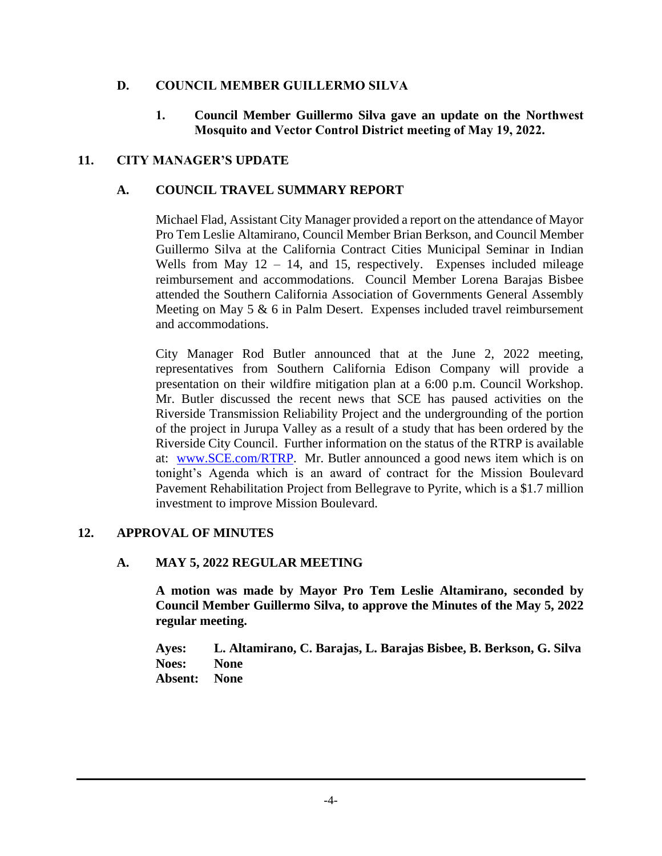## **D. COUNCIL MEMBER GUILLERMO SILVA**

**1. Council Member Guillermo Silva gave an update on the Northwest Mosquito and Vector Control District meeting of May 19, 2022.**

## **11. CITY MANAGER'S UPDATE**

## **A. COUNCIL TRAVEL SUMMARY REPORT**

Michael Flad, Assistant City Manager provided a report on the attendance of Mayor Pro Tem Leslie Altamirano, Council Member Brian Berkson, and Council Member Guillermo Silva at the California Contract Cities Municipal Seminar in Indian Wells from May  $12 - 14$ , and 15, respectively. Expenses included mileage reimbursement and accommodations. Council Member Lorena Barajas Bisbee attended the Southern California Association of Governments General Assembly Meeting on May 5 & 6 in Palm Desert. Expenses included travel reimbursement and accommodations.

City Manager Rod Butler announced that at the June 2, 2022 meeting, representatives from Southern California Edison Company will provide a presentation on their wildfire mitigation plan at a 6:00 p.m. Council Workshop. Mr. Butler discussed the recent news that SCE has paused activities on the Riverside Transmission Reliability Project and the undergrounding of the portion of the project in Jurupa Valley as a result of a study that has been ordered by the Riverside City Council. Further information on the status of the RTRP is available at: [www.SCE.com/RTRP.](http://www.sce.com/RTRP) Mr. Butler announced a good news item which is on tonight's Agenda which is an award of contract for the Mission Boulevard Pavement Rehabilitation Project from Bellegrave to Pyrite, which is a \$1.7 million investment to improve Mission Boulevard.

## **12. APPROVAL OF MINUTES**

## **A. MAY 5, 2022 REGULAR MEETING**

**A motion was made by Mayor Pro Tem Leslie Altamirano, seconded by Council Member Guillermo Silva, to approve the Minutes of the May 5, 2022 regular meeting.**

**Ayes: L. Altamirano, C. Barajas, L. Barajas Bisbee, B. Berkson, G. Silva Noes: None Absent: None**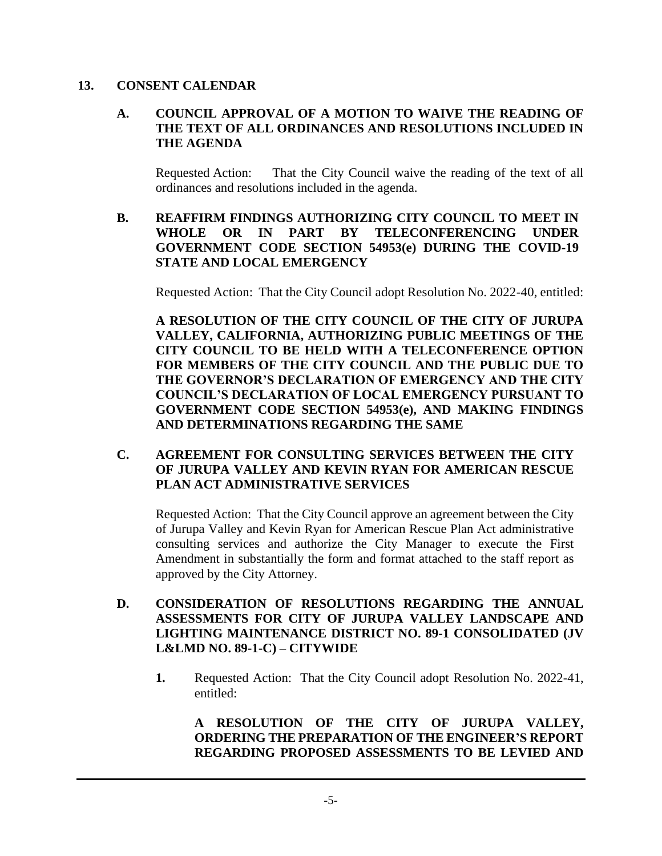#### **13. CONSENT CALENDAR**

## **A. COUNCIL APPROVAL OF A MOTION TO WAIVE THE READING OF THE TEXT OF ALL ORDINANCES AND RESOLUTIONS INCLUDED IN THE AGENDA**

Requested Action: That the City Council waive the reading of the text of all ordinances and resolutions included in the agenda.

#### **B. REAFFIRM FINDINGS AUTHORIZING CITY COUNCIL TO MEET IN WHOLE OR IN PART BY TELECONFERENCING UNDER GOVERNMENT CODE SECTION 54953(e) DURING THE COVID-19 STATE AND LOCAL EMERGENCY**

Requested Action: That the City Council adopt Resolution No. 2022-40, entitled:

**A RESOLUTION OF THE CITY COUNCIL OF THE CITY OF JURUPA VALLEY, CALIFORNIA, AUTHORIZING PUBLIC MEETINGS OF THE CITY COUNCIL TO BE HELD WITH A TELECONFERENCE OPTION FOR MEMBERS OF THE CITY COUNCIL AND THE PUBLIC DUE TO THE GOVERNOR'S DECLARATION OF EMERGENCY AND THE CITY COUNCIL'S DECLARATION OF LOCAL EMERGENCY PURSUANT TO GOVERNMENT CODE SECTION 54953(e), AND MAKING FINDINGS AND DETERMINATIONS REGARDING THE SAME**

## **C. AGREEMENT FOR CONSULTING SERVICES BETWEEN THE CITY OF JURUPA VALLEY AND KEVIN RYAN FOR AMERICAN RESCUE PLAN ACT ADMINISTRATIVE SERVICES**

Requested Action: That the City Council approve an agreement between the City of Jurupa Valley and Kevin Ryan for American Rescue Plan Act administrative consulting services and authorize the City Manager to execute the First Amendment in substantially the form and format attached to the staff report as approved by the City Attorney.

- **D. CONSIDERATION OF RESOLUTIONS REGARDING THE ANNUAL ASSESSMENTS FOR CITY OF JURUPA VALLEY LANDSCAPE AND LIGHTING MAINTENANCE DISTRICT NO. 89-1 CONSOLIDATED (JV L&LMD NO. 89-1-C) – CITYWIDE**
	- **1.** Requested Action: That the City Council adopt Resolution No. 2022-41, entitled:

**A RESOLUTION OF THE CITY OF JURUPA VALLEY, ORDERING THE PREPARATION OF THE ENGINEER'S REPORT REGARDING PROPOSED ASSESSMENTS TO BE LEVIED AND**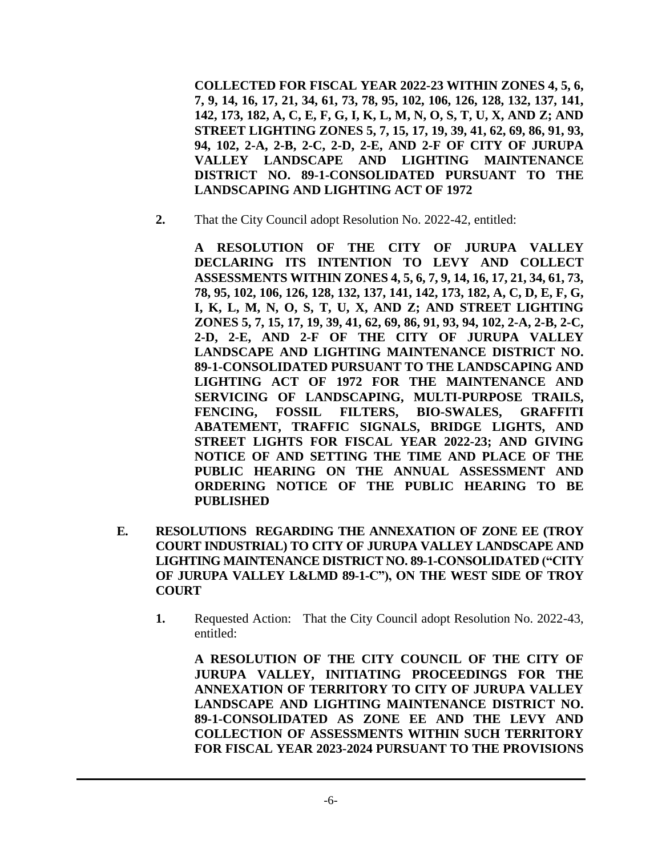**COLLECTED FOR FISCAL YEAR 2022-23 WITHIN ZONES 4, 5, 6, 7, 9, 14, 16, 17, 21, 34, 61, 73, 78, 95, 102, 106, 126, 128, 132, 137, 141, 142, 173, 182, A, C, E, F, G, I, K, L, M, N, O, S, T, U, X, AND Z; AND STREET LIGHTING ZONES 5, 7, 15, 17, 19, 39, 41, 62, 69, 86, 91, 93, 94, 102, 2-A, 2-B, 2-C, 2-D, 2-E, AND 2-F OF CITY OF JURUPA VALLEY LANDSCAPE AND LIGHTING MAINTENANCE DISTRICT NO. 89-1-CONSOLIDATED PURSUANT TO THE LANDSCAPING AND LIGHTING ACT OF 1972** 

**2.** That the City Council adopt Resolution No. 2022-42, entitled:

**A RESOLUTION OF THE CITY OF JURUPA VALLEY DECLARING ITS INTENTION TO LEVY AND COLLECT ASSESSMENTS WITHIN ZONES 4, 5, 6, 7, 9, 14, 16, 17, 21, 34, 61, 73, 78, 95, 102, 106, 126, 128, 132, 137, 141, 142, 173, 182, A, C, D, E, F, G, I, K, L, M, N, O, S, T, U, X, AND Z; AND STREET LIGHTING ZONES 5, 7, 15, 17, 19, 39, 41, 62, 69, 86, 91, 93, 94, 102, 2-A, 2-B, 2-C, 2-D, 2-E, AND 2-F OF THE CITY OF JURUPA VALLEY LANDSCAPE AND LIGHTING MAINTENANCE DISTRICT NO. 89-1-CONSOLIDATED PURSUANT TO THE LANDSCAPING AND LIGHTING ACT OF 1972 FOR THE MAINTENANCE AND SERVICING OF LANDSCAPING, MULTI-PURPOSE TRAILS, FENCING, FOSSIL FILTERS, BIO-SWALES, GRAFFITI ABATEMENT, TRAFFIC SIGNALS, BRIDGE LIGHTS, AND STREET LIGHTS FOR FISCAL YEAR 2022-23; AND GIVING NOTICE OF AND SETTING THE TIME AND PLACE OF THE PUBLIC HEARING ON THE ANNUAL ASSESSMENT AND ORDERING NOTICE OF THE PUBLIC HEARING TO BE PUBLISHED**

- **E. RESOLUTIONS REGARDING THE ANNEXATION OF ZONE EE (TROY COURT INDUSTRIAL) TO CITY OF JURUPA VALLEY LANDSCAPE AND LIGHTING MAINTENANCE DISTRICT NO. 89-1-CONSOLIDATED ("CITY OF JURUPA VALLEY L&LMD 89-1-C"), ON THE WEST SIDE OF TROY COURT**
	- **1.** Requested Action: That the City Council adopt Resolution No. 2022-43, entitled:

**A RESOLUTION OF THE CITY COUNCIL OF THE CITY OF JURUPA VALLEY, INITIATING PROCEEDINGS FOR THE ANNEXATION OF TERRITORY TO CITY OF JURUPA VALLEY LANDSCAPE AND LIGHTING MAINTENANCE DISTRICT NO. 89-1-CONSOLIDATED AS ZONE EE AND THE LEVY AND COLLECTION OF ASSESSMENTS WITHIN SUCH TERRITORY FOR FISCAL YEAR 2023-2024 PURSUANT TO THE PROVISIONS**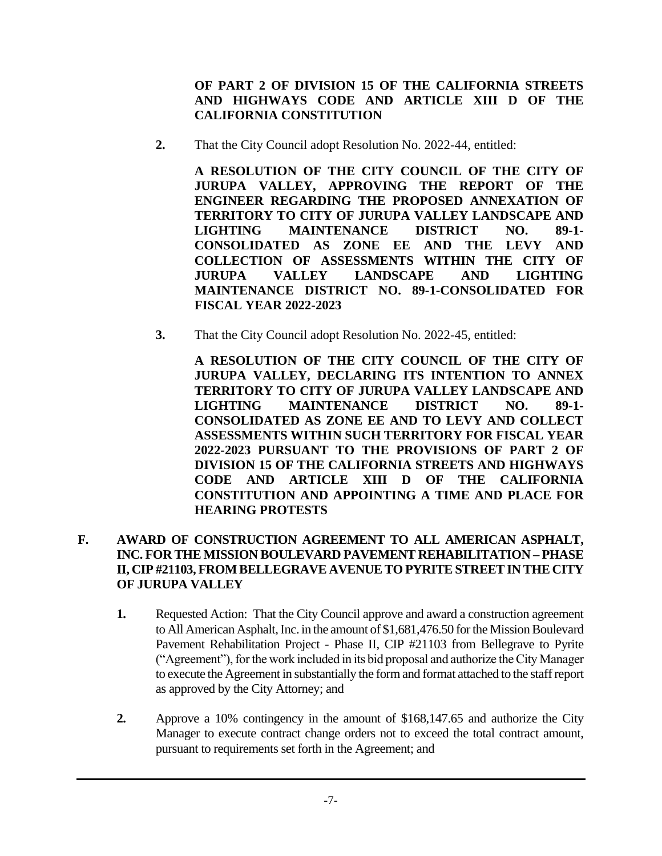**OF PART 2 OF DIVISION 15 OF THE CALIFORNIA STREETS AND HIGHWAYS CODE AND ARTICLE XIII D OF THE CALIFORNIA CONSTITUTION**

**2.** That the City Council adopt Resolution No. 2022-44, entitled:

**A RESOLUTION OF THE CITY COUNCIL OF THE CITY OF JURUPA VALLEY, APPROVING THE REPORT OF THE ENGINEER REGARDING THE PROPOSED ANNEXATION OF TERRITORY TO CITY OF JURUPA VALLEY LANDSCAPE AND LIGHTING MAINTENANCE DISTRICT NO. 89-1- CONSOLIDATED AS ZONE EE AND THE LEVY AND COLLECTION OF ASSESSMENTS WITHIN THE CITY OF JURUPA VALLEY LANDSCAPE AND LIGHTING MAINTENANCE DISTRICT NO. 89-1-CONSOLIDATED FOR FISCAL YEAR 2022-2023**

**3.** That the City Council adopt Resolution No. 2022-45, entitled:

**A RESOLUTION OF THE CITY COUNCIL OF THE CITY OF JURUPA VALLEY, DECLARING ITS INTENTION TO ANNEX TERRITORY TO CITY OF JURUPA VALLEY LANDSCAPE AND LIGHTING MAINTENANCE DISTRICT NO. 89-1- CONSOLIDATED AS ZONE EE AND TO LEVY AND COLLECT ASSESSMENTS WITHIN SUCH TERRITORY FOR FISCAL YEAR 2022-2023 PURSUANT TO THE PROVISIONS OF PART 2 OF DIVISION 15 OF THE CALIFORNIA STREETS AND HIGHWAYS CODE AND ARTICLE XIII D OF THE CALIFORNIA CONSTITUTION AND APPOINTING A TIME AND PLACE FOR HEARING PROTESTS**

## **F. AWARD OF CONSTRUCTION AGREEMENT TO ALL AMERICAN ASPHALT, INC. FOR THE MISSION BOULEVARD PAVEMENT REHABILITATION – PHASE II, CIP #21103, FROM BELLEGRAVE AVENUE TO PYRITE STREET IN THE CITY OF JURUPA VALLEY**

- **1.** Requested Action: That the City Council approve and award a construction agreement to All American Asphalt, Inc. in the amount of \$1,681,476.50 for the Mission Boulevard Pavement Rehabilitation Project - Phase II, CIP #21103 from Bellegrave to Pyrite ("Agreement"), for the work included in its bid proposal and authorize the City Manager to execute the Agreement in substantially the form and format attached to the staff report as approved by the City Attorney; and
- **2.** Approve a 10% contingency in the amount of \$168,147.65 and authorize the City Manager to execute contract change orders not to exceed the total contract amount, pursuant to requirements set forth in the Agreement; and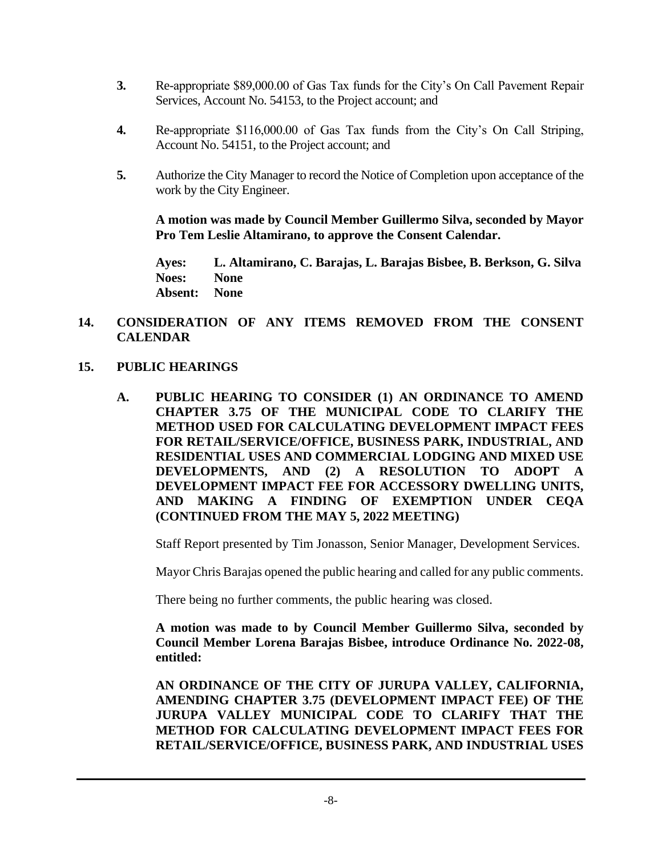- **3.** Re-appropriate \$89,000.00 of Gas Tax funds for the City's On Call Pavement Repair Services, Account No. 54153, to the Project account; and
- **4.** Re-appropriate \$116,000.00 of Gas Tax funds from the City's On Call Striping, Account No. 54151, to the Project account; and
- **5.** Authorize the City Manager to record the Notice of Completion upon acceptance of the work by the City Engineer.

**A motion was made by Council Member Guillermo Silva, seconded by Mayor Pro Tem Leslie Altamirano, to approve the Consent Calendar.**

**Ayes: L. Altamirano, C. Barajas, L. Barajas Bisbee, B. Berkson, G. Silva Noes: None Absent: None**

#### **14. CONSIDERATION OF ANY ITEMS REMOVED FROM THE CONSENT CALENDAR**

#### **15. PUBLIC HEARINGS**

**A. PUBLIC HEARING TO CONSIDER (1) AN ORDINANCE TO AMEND CHAPTER 3.75 OF THE MUNICIPAL CODE TO CLARIFY THE METHOD USED FOR CALCULATING DEVELOPMENT IMPACT FEES FOR RETAIL/SERVICE/OFFICE, BUSINESS PARK, INDUSTRIAL, AND RESIDENTIAL USES AND COMMERCIAL LODGING AND MIXED USE DEVELOPMENTS, AND (2) A RESOLUTION TO ADOPT A DEVELOPMENT IMPACT FEE FOR ACCESSORY DWELLING UNITS, AND MAKING A FINDING OF EXEMPTION UNDER CEQA (CONTINUED FROM THE MAY 5, 2022 MEETING)**

Staff Report presented by Tim Jonasson, Senior Manager, Development Services.

Mayor Chris Barajas opened the public hearing and called for any public comments.

There being no further comments, the public hearing was closed.

**A motion was made to by Council Member Guillermo Silva, seconded by Council Member Lorena Barajas Bisbee, introduce Ordinance No. 2022-08, entitled:**

**AN ORDINANCE OF THE CITY OF JURUPA VALLEY, CALIFORNIA, AMENDING CHAPTER 3.75 (DEVELOPMENT IMPACT FEE) OF THE JURUPA VALLEY MUNICIPAL CODE TO CLARIFY THAT THE METHOD FOR CALCULATING DEVELOPMENT IMPACT FEES FOR RETAIL/SERVICE/OFFICE, BUSINESS PARK, AND INDUSTRIAL USES**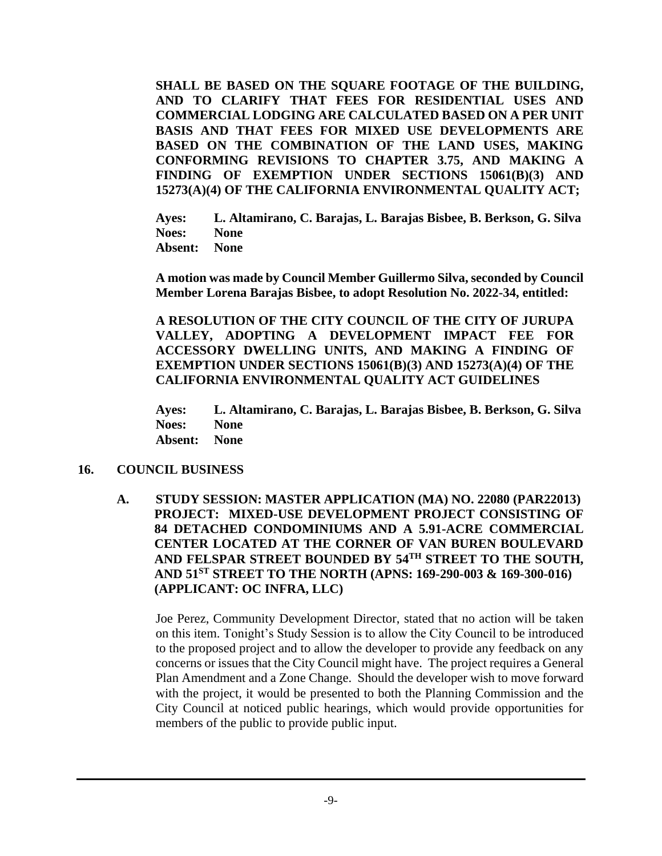**SHALL BE BASED ON THE SQUARE FOOTAGE OF THE BUILDING, AND TO CLARIFY THAT FEES FOR RESIDENTIAL USES AND COMMERCIAL LODGING ARE CALCULATED BASED ON A PER UNIT BASIS AND THAT FEES FOR MIXED USE DEVELOPMENTS ARE BASED ON THE COMBINATION OF THE LAND USES, MAKING CONFORMING REVISIONS TO CHAPTER 3.75, AND MAKING A FINDING OF EXEMPTION UNDER SECTIONS 15061(B)(3) AND 15273(A)(4) OF THE CALIFORNIA ENVIRONMENTAL QUALITY ACT;**

**Ayes: L. Altamirano, C. Barajas, L. Barajas Bisbee, B. Berkson, G. Silva Noes: None Absent: None**

**A motion was made by Council Member Guillermo Silva, seconded by Council Member Lorena Barajas Bisbee, to adopt Resolution No. 2022-34, entitled:**

**A RESOLUTION OF THE CITY COUNCIL OF THE CITY OF JURUPA VALLEY, ADOPTING A DEVELOPMENT IMPACT FEE FOR ACCESSORY DWELLING UNITS, AND MAKING A FINDING OF EXEMPTION UNDER SECTIONS 15061(B)(3) AND 15273(A)(4) OF THE CALIFORNIA ENVIRONMENTAL QUALITY ACT GUIDELINES**

**Ayes: L. Altamirano, C. Barajas, L. Barajas Bisbee, B. Berkson, G. Silva Noes: None Absent: None**

#### **16. COUNCIL BUSINESS**

**A. STUDY SESSION: MASTER APPLICATION (MA) NO. 22080 (PAR22013) PROJECT: MIXED-USE DEVELOPMENT PROJECT CONSISTING OF 84 DETACHED CONDOMINIUMS AND A 5.91-ACRE COMMERCIAL CENTER LOCATED AT THE CORNER OF VAN BUREN BOULEVARD AND FELSPAR STREET BOUNDED BY 54TH STREET TO THE SOUTH, AND 51ST STREET TO THE NORTH (APNS: 169-290-003 & 169-300-016) (APPLICANT: OC INFRA, LLC)**

Joe Perez, Community Development Director, stated that no action will be taken on this item. Tonight's Study Session is to allow the City Council to be introduced to the proposed project and to allow the developer to provide any feedback on any concerns or issues that the City Council might have. The project requires a General Plan Amendment and a Zone Change. Should the developer wish to move forward with the project, it would be presented to both the Planning Commission and the City Council at noticed public hearings, which would provide opportunities for members of the public to provide public input.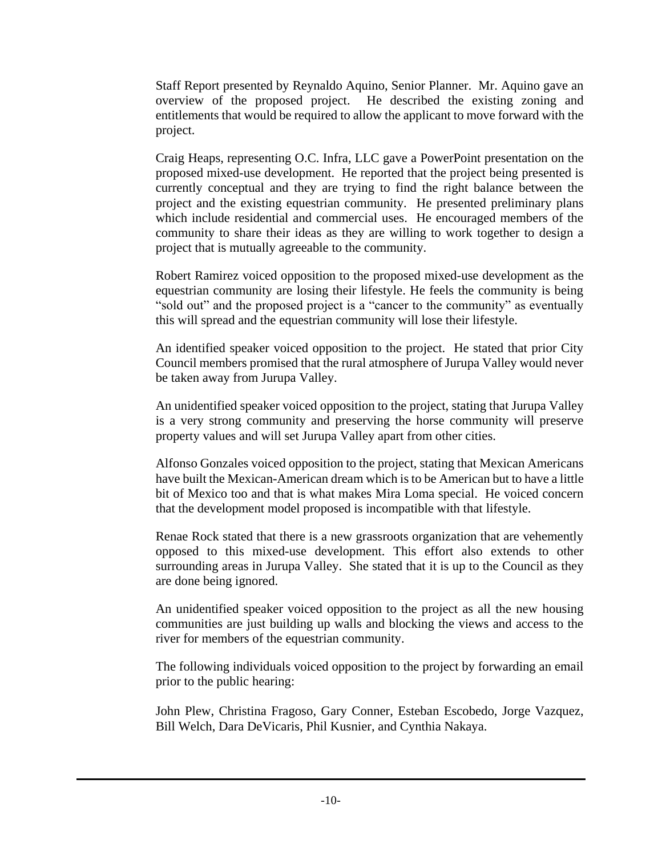Staff Report presented by Reynaldo Aquino, Senior Planner. Mr. Aquino gave an overview of the proposed project. He described the existing zoning and entitlements that would be required to allow the applicant to move forward with the project.

Craig Heaps, representing O.C. Infra, LLC gave a PowerPoint presentation on the proposed mixed-use development. He reported that the project being presented is currently conceptual and they are trying to find the right balance between the project and the existing equestrian community. He presented preliminary plans which include residential and commercial uses. He encouraged members of the community to share their ideas as they are willing to work together to design a project that is mutually agreeable to the community.

Robert Ramirez voiced opposition to the proposed mixed-use development as the equestrian community are losing their lifestyle. He feels the community is being "sold out" and the proposed project is a "cancer to the community" as eventually this will spread and the equestrian community will lose their lifestyle.

An identified speaker voiced opposition to the project. He stated that prior City Council members promised that the rural atmosphere of Jurupa Valley would never be taken away from Jurupa Valley.

An unidentified speaker voiced opposition to the project, stating that Jurupa Valley is a very strong community and preserving the horse community will preserve property values and will set Jurupa Valley apart from other cities.

Alfonso Gonzales voiced opposition to the project, stating that Mexican Americans have built the Mexican-American dream which is to be American but to have a little bit of Mexico too and that is what makes Mira Loma special. He voiced concern that the development model proposed is incompatible with that lifestyle.

Renae Rock stated that there is a new grassroots organization that are vehemently opposed to this mixed-use development. This effort also extends to other surrounding areas in Jurupa Valley. She stated that it is up to the Council as they are done being ignored.

An unidentified speaker voiced opposition to the project as all the new housing communities are just building up walls and blocking the views and access to the river for members of the equestrian community.

The following individuals voiced opposition to the project by forwarding an email prior to the public hearing:

John Plew, Christina Fragoso, Gary Conner, Esteban Escobedo, Jorge Vazquez, Bill Welch, Dara DeVicaris, Phil Kusnier, and Cynthia Nakaya.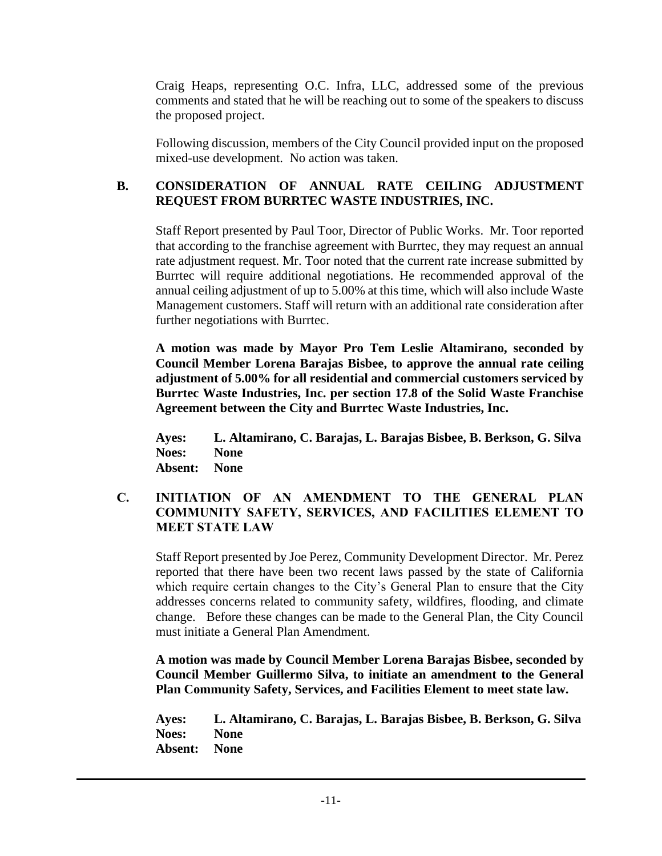Craig Heaps, representing O.C. Infra, LLC, addressed some of the previous comments and stated that he will be reaching out to some of the speakers to discuss the proposed project.

Following discussion, members of the City Council provided input on the proposed mixed-use development. No action was taken.

## **B. CONSIDERATION OF ANNUAL RATE CEILING ADJUSTMENT REQUEST FROM BURRTEC WASTE INDUSTRIES, INC.**

Staff Report presented by Paul Toor, Director of Public Works. Mr. Toor reported that according to the franchise agreement with Burrtec, they may request an annual rate adjustment request. Mr. Toor noted that the current rate increase submitted by Burrtec will require additional negotiations. He recommended approval of the annual ceiling adjustment of up to 5.00% at this time, which will also include Waste Management customers. Staff will return with an additional rate consideration after further negotiations with Burrtec.

**A motion was made by Mayor Pro Tem Leslie Altamirano, seconded by Council Member Lorena Barajas Bisbee, to approve the annual rate ceiling adjustment of 5.00% for all residential and commercial customers serviced by Burrtec Waste Industries, Inc. per section 17.8 of the Solid Waste Franchise Agreement between the City and Burrtec Waste Industries, Inc.** 

**Ayes: L. Altamirano, C. Barajas, L. Barajas Bisbee, B. Berkson, G. Silva Noes: None Absent: None**

## **C. INITIATION OF AN AMENDMENT TO THE GENERAL PLAN COMMUNITY SAFETY, SERVICES, AND FACILITIES ELEMENT TO MEET STATE LAW**

Staff Report presented by Joe Perez, Community Development Director. Mr. Perez reported that there have been two recent laws passed by the state of California which require certain changes to the City's General Plan to ensure that the City addresses concerns related to community safety, wildfires, flooding, and climate change. Before these changes can be made to the General Plan, the City Council must initiate a General Plan Amendment.

**A motion was made by Council Member Lorena Barajas Bisbee, seconded by Council Member Guillermo Silva, to initiate an amendment to the General Plan Community Safety, Services, and Facilities Element to meet state law.**

**Ayes: L. Altamirano, C. Barajas, L. Barajas Bisbee, B. Berkson, G. Silva Noes: None Absent: None**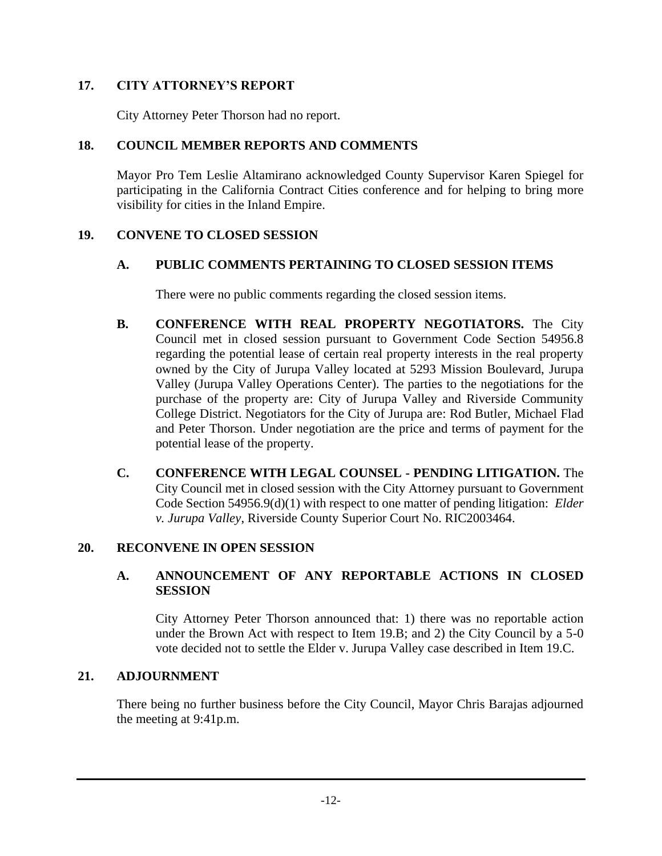## **17. CITY ATTORNEY'S REPORT**

City Attorney Peter Thorson had no report.

## **18. COUNCIL MEMBER REPORTS AND COMMENTS**

Mayor Pro Tem Leslie Altamirano acknowledged County Supervisor Karen Spiegel for participating in the California Contract Cities conference and for helping to bring more visibility for cities in the Inland Empire.

## **19. CONVENE TO CLOSED SESSION**

# **A. PUBLIC COMMENTS PERTAINING TO CLOSED SESSION ITEMS**

There were no public comments regarding the closed session items.

- **B. CONFERENCE WITH REAL PROPERTY NEGOTIATORS.** The City Council met in closed session pursuant to Government Code Section 54956.8 regarding the potential lease of certain real property interests in the real property owned by the City of Jurupa Valley located at 5293 Mission Boulevard, Jurupa Valley (Jurupa Valley Operations Center). The parties to the negotiations for the purchase of the property are: City of Jurupa Valley and Riverside Community College District. Negotiators for the City of Jurupa are: Rod Butler, Michael Flad and Peter Thorson. Under negotiation are the price and terms of payment for the potential lease of the property.
- **C. CONFERENCE WITH LEGAL COUNSEL - PENDING LITIGATION.** The City Council met in closed session with the City Attorney pursuant to Government Code Section 54956.9(d)(1) with respect to one matter of pending litigation: *Elder v. Jurupa Valley*, Riverside County Superior Court No. RIC2003464.

## **20. RECONVENE IN OPEN SESSION**

## **A. ANNOUNCEMENT OF ANY REPORTABLE ACTIONS IN CLOSED SESSION**

City Attorney Peter Thorson announced that: 1) there was no reportable action under the Brown Act with respect to Item 19.B; and 2) the City Council by a 5-0 vote decided not to settle the Elder v. Jurupa Valley case described in Item 19.C.

## **21. ADJOURNMENT**

There being no further business before the City Council, Mayor Chris Barajas adjourned the meeting at 9:41p.m.